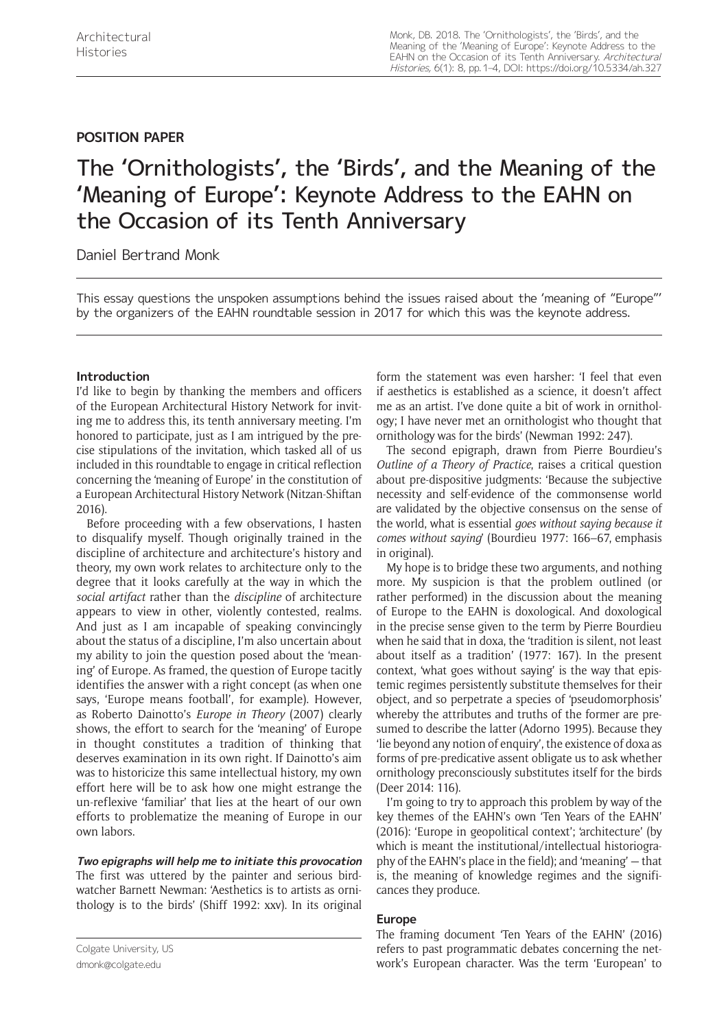## **POSITION PAPER**

# The 'Ornithologists', the 'Birds', and the Meaning of the 'Meaning of Europe': Keynote Address to the EAHN on the Occasion of its Tenth Anniversary

Daniel Bertrand Monk

This essay questions the unspoken assumptions behind the issues raised about the 'meaning of "Europe"' by the organizers of the EAHN roundtable session in 2017 for which this was the keynote address.

## **Introduction**

I'd like to begin by thanking the members and officers of the European Architectural History Network for inviting me to address this, its tenth anniversary meeting. I'm honored to participate, just as I am intrigued by the precise stipulations of the invitation, which tasked all of us included in this roundtable to engage in critical reflection concerning the 'meaning of Europe' in the constitution of a European Architectural History Network (Nitzan-Shiftan 2016).

Before proceeding with a few observations, I hasten to disqualify myself. Though originally trained in the discipline of architecture and architecture's history and theory, my own work relates to architecture only to the degree that it looks carefully at the way in which the *social artifact* rather than the *discipline* of architecture appears to view in other, violently contested, realms. And just as I am incapable of speaking convincingly about the status of a discipline, I'm also uncertain about my ability to join the question posed about the 'meaning' of Europe. As framed, the question of Europe tacitly identifies the answer with a right concept (as when one says, 'Europe means football', for example). However, as Roberto Dainotto's *Europe in Theory* (2007) clearly shows, the effort to search for the 'meaning' of Europe in thought constitutes a tradition of thinking that deserves examination in its own right. If Dainotto's aim was to historicize this same intellectual history, my own effort here will be to ask how one might estrange the un-reflexive 'familiar' that lies at the heart of our own efforts to problematize the meaning of Europe in our own labors.

**Two epigraphs will help me to initiate this provocation** The first was uttered by the painter and serious birdwatcher Barnett Newman: 'Aesthetics is to artists as ornithology is to the birds' (Shiff 1992: xxv). In its original

Colgate University, US [dmonk@colgate.edu](mailto:dmonk@colgate.edu)

form the statement was even harsher: 'I feel that even if aesthetics is established as a science, it doesn't affect me as an artist. I've done quite a bit of work in ornithology; I have never met an ornithologist who thought that ornithology was for the birds' (Newman 1992: 247).

The second epigraph, drawn from Pierre Bourdieu's *Outline of a Theory of Practice*, raises a critical question about pre-dispositive judgments: 'Because the subjective necessity and self-evidence of the commonsense world are validated by the objective consensus on the sense of the world, what is essential *goes without saying because it comes without saying*' (Bourdieu 1977: 166–67, emphasis in original).

My hope is to bridge these two arguments, and nothing more. My suspicion is that the problem outlined (or rather performed) in the discussion about the meaning of Europe to the EAHN is doxological. And doxological in the precise sense given to the term by Pierre Bourdieu when he said that in doxa, the 'tradition is silent, not least about itself as a tradition' (1977: 167). In the present context, 'what goes without saying' is the way that epistemic regimes persistently substitute themselves for their object, and so perpetrate a species of 'pseudomorphosis' whereby the attributes and truths of the former are presumed to describe the latter (Adorno 1995). Because they 'lie beyond any notion of enquiry', the existence of doxa as forms of pre-predicative assent obligate us to ask whether ornithology preconsciously substitutes itself for the birds (Deer 2014: 116).

I'm going to try to approach this problem by way of the key themes of the EAHN's own 'Ten Years of the EAHN' (2016): 'Europe in geopolitical context'; 'architecture' (by which is meant the institutional/intellectual historiography of the EAHN's place in the field); and 'meaning' — that is, the meaning of knowledge regimes and the significances they produce.

## **Europe**

The framing document 'Ten Years of the EAHN' (2016) refers to past programmatic debates concerning the network's European character. Was the term 'European' to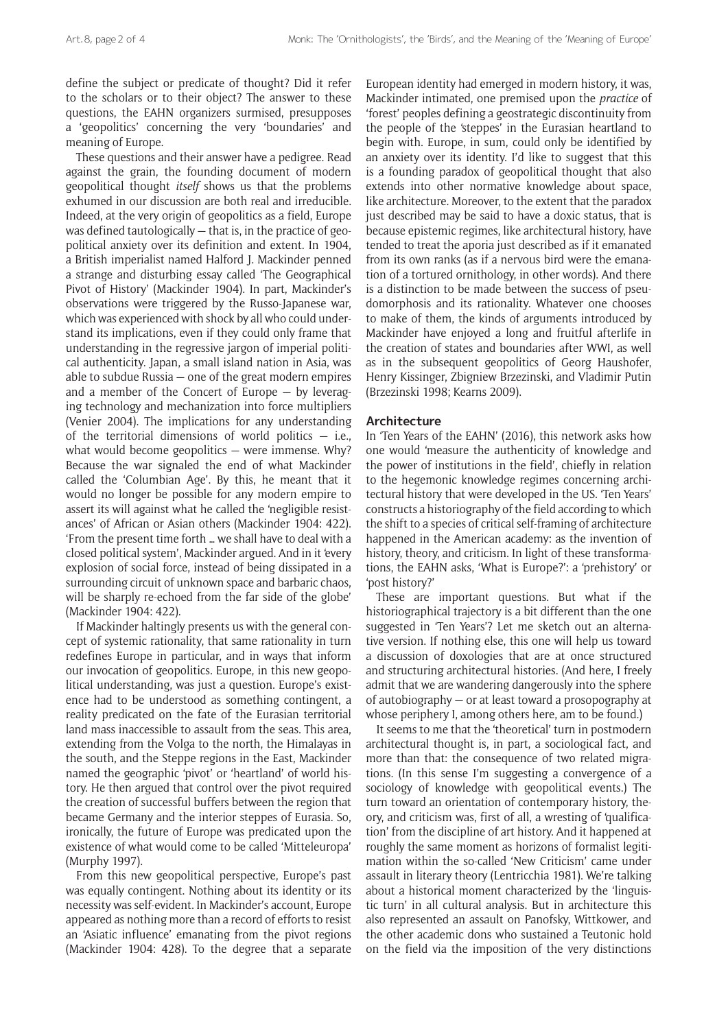define the subject or predicate of thought? Did it refer to the scholars or to their object? The answer to these questions, the EAHN organizers surmised, presupposes a 'geopolitics' concerning the very 'boundaries' and meaning of Europe.

These questions and their answer have a pedigree. Read against the grain, the founding document of modern geopolitical thought *itself* shows us that the problems exhumed in our discussion are both real and irreducible. Indeed, at the very origin of geopolitics as a field, Europe was defined tautologically — that is, in the practice of geopolitical anxiety over its definition and extent. In 1904, a British imperialist named Halford J. Mackinder penned a strange and disturbing essay called 'The Geographical Pivot of History' (Mackinder 1904). In part, Mackinder's observations were triggered by the Russo-Japanese war, which was experienced with shock by all who could understand its implications, even if they could only frame that understanding in the regressive jargon of imperial political authenticity. Japan, a small island nation in Asia, was able to subdue Russia — one of the great modern empires and a member of the Concert of Europe — by leveraging technology and mechanization into force multipliers (Venier 2004). The implications for any understanding of the territorial dimensions of world politics  $-$  i.e., what would become geopolitics – were immense. Why? Because the war signaled the end of what Mackinder called the 'Columbian Age'. By this, he meant that it would no longer be possible for any modern empire to assert its will against what he called the 'negligible resistances' of African or Asian others (Mackinder 1904: 422). 'From the present time forth … we shall have to deal with a closed political system', Mackinder argued. And in it 'every explosion of social force, instead of being dissipated in a surrounding circuit of unknown space and barbaric chaos, will be sharply re-echoed from the far side of the globe' (Mackinder 1904: 422).

If Mackinder haltingly presents us with the general concept of systemic rationality, that same rationality in turn redefines Europe in particular, and in ways that inform our invocation of geopolitics. Europe, in this new geopolitical understanding, was just a question. Europe's existence had to be understood as something contingent, a reality predicated on the fate of the Eurasian territorial land mass inaccessible to assault from the seas. This area, extending from the Volga to the north, the Himalayas in the south, and the Steppe regions in the East, Mackinder named the geographic 'pivot' or 'heartland' of world history. He then argued that control over the pivot required the creation of successful buffers between the region that became Germany and the interior steppes of Eurasia. So, ironically, the future of Europe was predicated upon the existence of what would come to be called 'Mitteleuropa' (Murphy 1997).

From this new geopolitical perspective, Europe's past was equally contingent. Nothing about its identity or its necessity was self-evident. In Mackinder's account, Europe appeared as nothing more than a record of efforts to resist an 'Asiatic influence' emanating from the pivot regions (Mackinder 1904: 428). To the degree that a separate European identity had emerged in modern history, it was, Mackinder intimated, one premised upon the *practice* of 'forest' peoples defining a geostrategic discontinuity from the people of the 'steppes' in the Eurasian heartland to begin with. Europe, in sum, could only be identified by an anxiety over its identity. I'd like to suggest that this is a founding paradox of geopolitical thought that also extends into other normative knowledge about space, like architecture. Moreover, to the extent that the paradox just described may be said to have a doxic status, that is because epistemic regimes, like architectural history, have tended to treat the aporia just described as if it emanated from its own ranks (as if a nervous bird were the emanation of a tortured ornithology, in other words). And there is a distinction to be made between the success of pseudomorphosis and its rationality. Whatever one chooses to make of them, the kinds of arguments introduced by Mackinder have enjoyed a long and fruitful afterlife in the creation of states and boundaries after WWI, as well as in the subsequent geopolitics of Georg Haushofer, Henry Kissinger, Zbigniew Brzezinski, and Vladimir Putin (Brzezinski 1998; Kearns 2009).

#### **Architecture**

In 'Ten Years of the EAHN' (2016), this network asks how one would 'measure the authenticity of knowledge and the power of institutions in the field', chiefly in relation to the hegemonic knowledge regimes concerning architectural history that were developed in the US. 'Ten Years' constructs a historiography of the field according to which the shift to a species of critical self-framing of architecture happened in the American academy: as the invention of history, theory, and criticism. In light of these transformations, the EAHN asks, 'What is Europe?': a 'prehistory' or 'post history?'

These are important questions. But what if the historiographical trajectory is a bit different than the one suggested in 'Ten Years'? Let me sketch out an alternative version. If nothing else, this one will help us toward a discussion of doxologies that are at once structured and structuring architectural histories. (And here, I freely admit that we are wandering dangerously into the sphere of autobiography — or at least toward a prosopography at whose periphery I, among others here, am to be found.)

It seems to me that the 'theoretical' turn in postmodern architectural thought is, in part, a sociological fact, and more than that: the consequence of two related migrations. (In this sense I'm suggesting a convergence of a sociology of knowledge with geopolitical events.) The turn toward an orientation of contemporary history, theory, and criticism was, first of all, a wresting of 'qualification' from the discipline of art history. And it happened at roughly the same moment as horizons of formalist legitimation within the so-called 'New Criticism' came under assault in literary theory (Lentricchia 1981). We're talking about a historical moment characterized by the 'linguistic turn' in all cultural analysis. But in architecture this also represented an assault on Panofsky, Wittkower, and the other academic dons who sustained a Teutonic hold on the field via the imposition of the very distinctions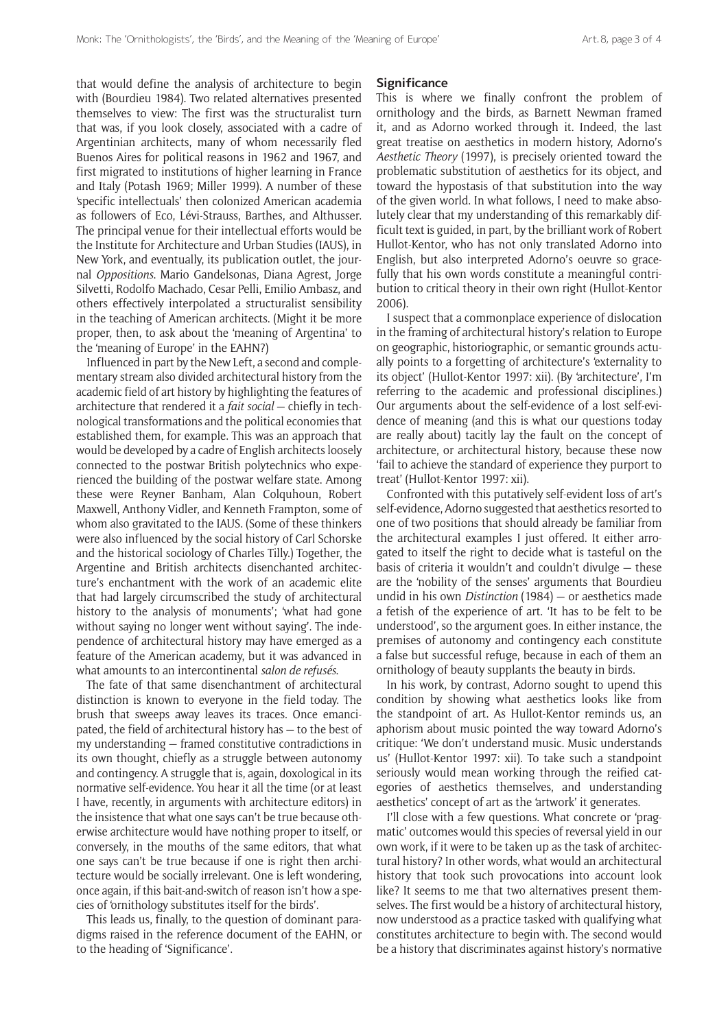that would define the analysis of architecture to begin with (Bourdieu 1984). Two related alternatives presented themselves to view: The first was the structuralist turn that was, if you look closely, associated with a cadre of Argentinian architects, many of whom necessarily fled Buenos Aires for political reasons in 1962 and 1967, and first migrated to institutions of higher learning in France and Italy (Potash 1969; Miller 1999). A number of these 'specific intellectuals' then colonized American academia as followers of Eco, Lévi-Strauss, Barthes, and Althusser. The principal venue for their intellectual efforts would be the Institute for Architecture and Urban Studies (IAUS), in New York, and eventually, its publication outlet, the journal *Oppositions*. Mario Gandelsonas, Diana Agrest, Jorge Silvetti, Rodolfo Machado, Cesar Pelli, Emilio Ambasz, and others effectively interpolated a structuralist sensibility in the teaching of American architects. (Might it be more proper, then, to ask about the 'meaning of Argentina' to the 'meaning of Europe' in the EAHN?)

Influenced in part by the New Left, a second and complementary stream also divided architectural history from the academic field of art history by highlighting the features of architecture that rendered it a *fait social* - chiefly in technological transformations and the political economies that established them, for example. This was an approach that would be developed by a cadre of English architects loosely connected to the postwar British polytechnics who experienced the building of the postwar welfare state. Among these were Reyner Banham, Alan Colquhoun, Robert Maxwell, Anthony Vidler, and Kenneth Frampton, some of whom also gravitated to the IAUS. (Some of these thinkers were also influenced by the social history of Carl Schorske and the historical sociology of Charles Tilly.) Together, the Argentine and British architects disenchanted architecture's enchantment with the work of an academic elite that had largely circumscribed the study of architectural history to the analysis of monuments'; 'what had gone without saying no longer went without saying'. The independence of architectural history may have emerged as a feature of the American academy, but it was advanced in what amounts to an intercontinental *salon de refusés*.

The fate of that same disenchantment of architectural distinction is known to everyone in the field today. The brush that sweeps away leaves its traces. Once emancipated, the field of architectural history has — to the best of my understanding — framed constitutive contradictions in its own thought, chiefly as a struggle between autonomy and contingency. A struggle that is, again, doxological in its normative self-evidence. You hear it all the time (or at least I have, recently, in arguments with architecture editors) in the insistence that what one says can't be true because otherwise architecture would have nothing proper to itself, or conversely, in the mouths of the same editors, that what one says can't be true because if one is right then architecture would be socially irrelevant. One is left wondering, once again, if this bait-and-switch of reason isn't how a species of 'ornithology substitutes itself for the birds'.

This leads us, finally, to the question of dominant paradigms raised in the reference document of the EAHN, or to the heading of 'Significance'.

#### **Significance**

This is where we finally confront the problem of ornithology and the birds, as Barnett Newman framed it, and as Adorno worked through it. Indeed, the last great treatise on aesthetics in modern history, Adorno's *Aesthetic Theory* (1997), is precisely oriented toward the problematic substitution of aesthetics for its object, and toward the hypostasis of that substitution into the way of the given world. In what follows, I need to make absolutely clear that my understanding of this remarkably difficult text is guided, in part, by the brilliant work of Robert Hullot-Kentor, who has not only translated Adorno into English, but also interpreted Adorno's oeuvre so gracefully that his own words constitute a meaningful contribution to critical theory in their own right (Hullot-Kentor 2006).

I suspect that a commonplace experience of dislocation in the framing of architectural history's relation to Europe on geographic, historiographic, or semantic grounds actually points to a forgetting of architecture's 'externality to its object' (Hullot-Kentor 1997: xii). (By 'architecture', I'm referring to the academic and professional disciplines.) Our arguments about the self-evidence of a lost self-evidence of meaning (and this is what our questions today are really about) tacitly lay the fault on the concept of architecture, or architectural history, because these now 'fail to achieve the standard of experience they purport to treat' (Hullot-Kentor 1997: xii).

Confronted with this putatively self-evident loss of art's self-evidence, Adorno suggested that aesthetics resorted to one of two positions that should already be familiar from the architectural examples I just offered. It either arrogated to itself the right to decide what is tasteful on the basis of criteria it wouldn't and couldn't divulge — these are the 'nobility of the senses' arguments that Bourdieu undid in his own *Distinction* (1984) — or aesthetics made a fetish of the experience of art. 'It has to be felt to be understood', so the argument goes. In either instance, the premises of autonomy and contingency each constitute a false but successful refuge, because in each of them an ornithology of beauty supplants the beauty in birds.

In his work, by contrast, Adorno sought to upend this condition by showing what aesthetics looks like from the standpoint of art. As Hullot-Kentor reminds us, an aphorism about music pointed the way toward Adorno's critique: 'We don't understand music. Music understands us' (Hullot-Kentor 1997: xii). To take such a standpoint seriously would mean working through the reified categories of aesthetics themselves, and understanding aesthetics' concept of art as the 'artwork' it generates.

I'll close with a few questions. What concrete or 'pragmatic' outcomes would this species of reversal yield in our own work, if it were to be taken up as the task of architectural history? In other words, what would an architectural history that took such provocations into account look like? It seems to me that two alternatives present themselves. The first would be a history of architectural history, now understood as a practice tasked with qualifying what constitutes architecture to begin with. The second would be a history that discriminates against history's normative